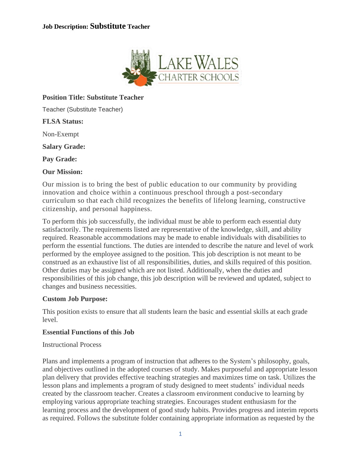

# **Position Title: Substitute Teacher**

Teacher (Substitute Teacher)

**FLSA Status:**

Non-Exempt

**Salary Grade:**

**Pay Grade:**

## **Our Mission:**

Our mission is to bring the best of public education to our community by providing innovation and choice within a continuous preschool through a post-secondary curriculum so that each child recognizes the benefits of lifelong learning, constructive citizenship, and personal happiness.

To perform this job successfully, the individual must be able to perform each essential duty satisfactorily. The requirements listed are representative of the knowledge, skill, and ability required. Reasonable accommodations may be made to enable individuals with disabilities to perform the essential functions. The duties are intended to describe the nature and level of work performed by the employee assigned to the position. This job description is not meant to be construed as an exhaustive list of all responsibilities, duties, and skills required of this position. Other duties may be assigned which are not listed. Additionally, when the duties and responsibilities of this job change, this job description will be reviewed and updated, subject to changes and business necessities.

#### **Custom Job Purpose:**

This position exists to ensure that all students learn the basic and essential skills at each grade level.

#### **Essential Functions of this Job**

#### Instructional Process

Plans and implements a program of instruction that adheres to the System's philosophy, goals, and objectives outlined in the adopted courses of study. Makes purposeful and appropriate lesson plan delivery that provides effective teaching strategies and maximizes time on task. Utilizes the lesson plans and implements a program of study designed to meet students' individual needs created by the classroom teacher. Creates a classroom environment conducive to learning by employing various appropriate teaching strategies. Encourages student enthusiasm for the learning process and the development of good study habits. Provides progress and interim reports as required. Follows the substitute folder containing appropriate information as requested by the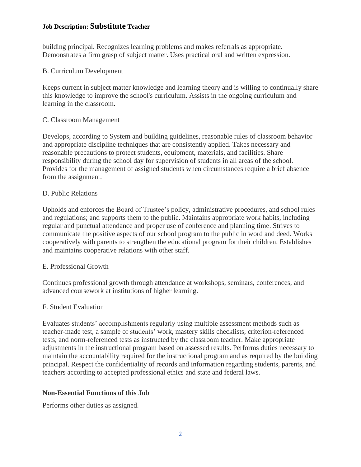### **Job Description: Substitute Teacher**

building principal. Recognizes learning problems and makes referrals as appropriate. Demonstrates a firm grasp of subject matter. Uses practical oral and written expression.

## B. Curriculum Development

Keeps current in subject matter knowledge and learning theory and is willing to continually share this knowledge to improve the school's curriculum. Assists in the ongoing curriculum and learning in the classroom.

## C. Classroom Management

Develops, according to System and building guidelines, reasonable rules of classroom behavior and appropriate discipline techniques that are consistently applied. Takes necessary and reasonable precautions to protect students, equipment, materials, and facilities. Share responsibility during the school day for supervision of students in all areas of the school. Provides for the management of assigned students when circumstances require a brief absence from the assignment.

## D. Public Relations

Upholds and enforces the Board of Trustee's policy, administrative procedures, and school rules and regulations; and supports them to the public. Maintains appropriate work habits, including regular and punctual attendance and proper use of conference and planning time. Strives to communicate the positive aspects of our school program to the public in word and deed. Works cooperatively with parents to strengthen the educational program for their children. Establishes and maintains cooperative relations with other staff.

#### E. Professional Growth

Continues professional growth through attendance at workshops, seminars, conferences, and advanced coursework at institutions of higher learning.

#### F. Student Evaluation

Evaluates students' accomplishments regularly using multiple assessment methods such as teacher-made test, a sample of students' work, mastery skills checklists, criterion-referenced tests, and norm-referenced tests as instructed by the classroom teacher. Make appropriate adjustments in the instructional program based on assessed results. Performs duties necessary to maintain the accountability required for the instructional program and as required by the building principal. Respect the confidentiality of records and information regarding students, parents, and teachers according to accepted professional ethics and state and federal laws.

#### **Non-Essential Functions of this Job**

Performs other duties as assigned.